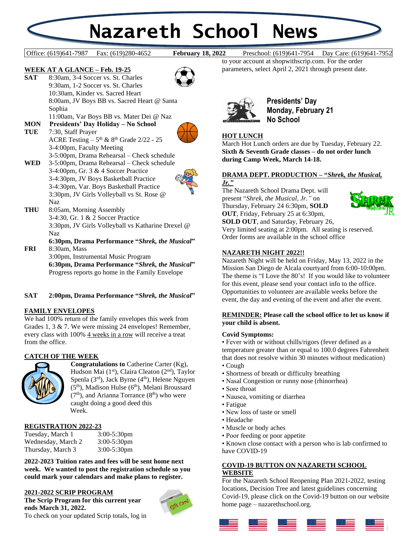# **Nazareth School News**

**February 18, 2022** 

#### **WEEK AT A GLANCE – Feb. 19-25**



#### 11:00am, Var Boys BB vs. Mater Dei @ Naz

## **MON Presidents' Day Holiday – No School**

**TUE** 7:30, Staff Prayer ACRE Testing  $-5$ <sup>th</sup> &  $8$ <sup>th</sup> Grade 2/22 - 25 3-4:00pm, Faculty Meeting



- 3-5:00pm, Drama Rehearsal Check schedule
- **WED** 3-5:00pm, Drama Rehearsal Check schedule 3-4:00pm, Gr. 3 & 4 Soccer Practice 3-4:30pm, JV Boys Basketball Practice 3-4:30pm, Var. Boys Basketball Practice 3:30pm, JV Girls Volleyball vs St. Rose @ Naz
- **THU** 8:05am, Morning Assembly 3-4:30, Gr. 1 & 2 Soccer Practice 3:30pm, JV Girls Volleyball vs Katharine Drexel @ Naz

# **6:30pm, Drama Performance "***Shrek, the Musical***"**

**FRI** 8:30am, Mass 3:00pm, Instrumental Music Program **6:30pm, Drama Performance "***Shrek, the Musical***"** Progress reports go home in the Family Envelope

#### **SAT 2:00pm, Drama Performance "***Shrek, the Musical***"**

#### **FAMILY ENVELOPES**

We had 100% return of the family envelopes this week from Grades 1, 3 & 7. We were missing 24 envelopes! Remember, every class with 100% 4 weeks in a row will receive a treat from the office.

#### **CATCH OF THE WEEK**



**Congratulations to** Catherine Carter (Kg), Hudson Mai (1<sup>st</sup>), Claira Cleaton (2<sup>nd</sup>), Taylor Spenla  $(3<sup>rd</sup>)$ , Jack Byrne  $(4<sup>th</sup>)$ , Helene Nguyen  $(5<sup>th</sup>)$ , Madison Hulse  $(6<sup>th</sup>)$ , Melani Broussard  $(7<sup>th</sup>)$ , and Arianna Torrance  $(8<sup>th</sup>)$  who were caught doing a good deed this Week.

#### **REGISTRATION 2022-23**

| Tuesday, March 1   | $3:00-5:30$ pm |
|--------------------|----------------|
| Wednesday, March 2 | $3:00-5:30$ pm |
| Thursday, March 3  | $3:00-5:30$ pm |

**2022-2023 Tuition rates and fees will be sent home next week. We wanted to post the registration schedule so you could mark your calendars and make plans to register.** 

#### **2021-2022 SCRIP PROGRAM**

**The Scrip Program for this current year ends March 31, 2022.** To check on your updated Scrip totals, log in



Office: (619)641-7987 Fax: (619)280-4652 **February 18, 2022** Preschool: (619)641-7954 Day Care: (619)641-7952

to your account at shopwithscrip.com. For the order parameters, select April 2, 2021 through present date.



**Presidents' Day Monday, February 21 No School**

### **HOT LUNCH**

March Hot Lunch orders are due by Tuesday, February 22. **Sixth & Seventh Grade classes – do not order lunch during Camp Week, March 14-18.**

#### **DRAMA DEPT. PRODUCTION – "***Shrek, the Musical, Jr."*

The Nazareth School Drama Dept. will present "*Shrek, the Musical, Jr."* on Thursday, February 24 6:30pm, **SOLD OUT**, Friday, February 25 at 6:30pm,



**SOLD OUT**, and Saturday, February 26, Very limited seating at 2:00pm. All seating is reserved. Order forms are available in the school office

#### **NAZARETH NIGHT 2022!!**

Nazareth Night will be held on Friday, May 13, 2022 in the Mission San Diego de Alcala courtyard from 6:00-10:00pm. The theme is "I Love the 80's! If you would like to volunteer for this event, please send your contact info to the office. Opportunities to volunteer are available weeks before the event, the day and evening of the event and after the event.

#### **REMINDER: Please call the school office to let us know if your child is absent.**

#### **Covid Symptoms:**

• Fever with or without chills/rigors (fever defined as a temperature greater than or equal to 100.0 degrees Fahrenheit that does not resolve within 30 minutes without medication)

- Cough
- Shortness of breath or difficulty breathing
- Nasal Congestion or runny nose (rhinorrhea)
- Sore throat
- Nausea, vomiting or diarrhea
- Fatigue
- New loss of taste or smell
- Headache
- Muscle or body aches
- Poor feeding or poor appetite

• Known close contact with a person who is lab confirmed to have COVID-19

#### **COVID-19 BUTTON ON NAZARETH SCHOOL WEBSITE**

For the Nazareth School Reopening Plan 2021-2022, testing locations, Decision Tree and latest guidelines concerning Covid-19, please click on the Covid-19 button on our website home page – nazarethschool.org.